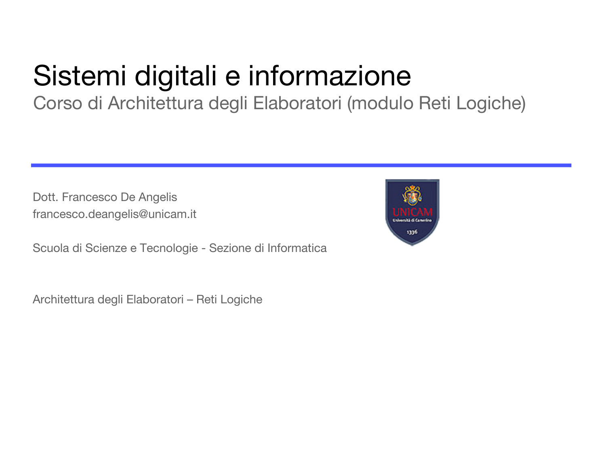## Sistemi digitali e informazione

Corso di Architettura degli Elaboratori (modulo Reti Logiche)

Dott. Francesco De Angelis francesco.deangelis@unicam.it

Scuola di Scienze e Tecnologie - Sezione di Informatica

Architettura degli Elaboratori – Reti Logiche

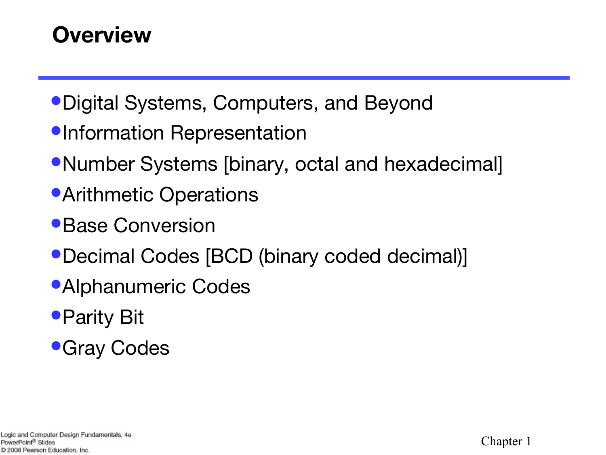### **Overview**

- •Digital Systems, Computers, and Beyond
- •Information Representation
- •Number Systems [binary, octal and hexadecimal]
- **•Arithmetic Operations**
- •Base Conversion
- •Decimal Codes [BCD (binary coded decimal)]
- •Alphanumeric Codes
- •Parity Bit
- **•Gray Codes**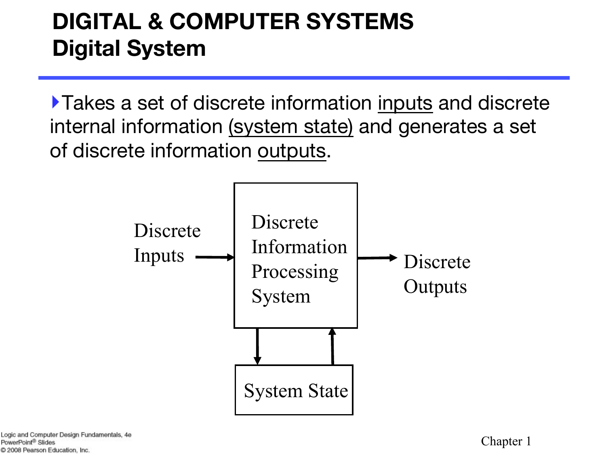### **DIGITAL & COMPUTER SYSTEMS Digital System**

‣Takes a set of discrete information inputs and discrete internal information (system state) and generates a set of discrete information outputs.

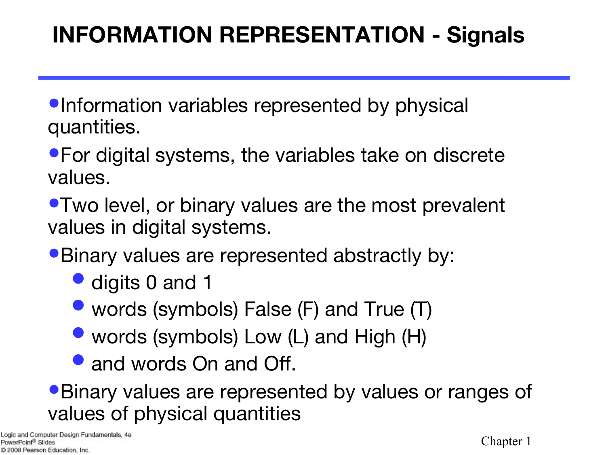### **INFORMATION REPRESENTATION - Signals**

•Information variables represented by physical quantities.

•For digital systems, the variables take on discrete values.

•Two level, or binary values are the most prevalent values in digital systems.

•Binary values are represented abstractly by:

- digits 0 and 1
- words (symbols) False (F) and True (T)
- words (symbols) Low (L) and High (H)
- and words On and Off.

•Binary values are represented by values or ranges of values of physical quantities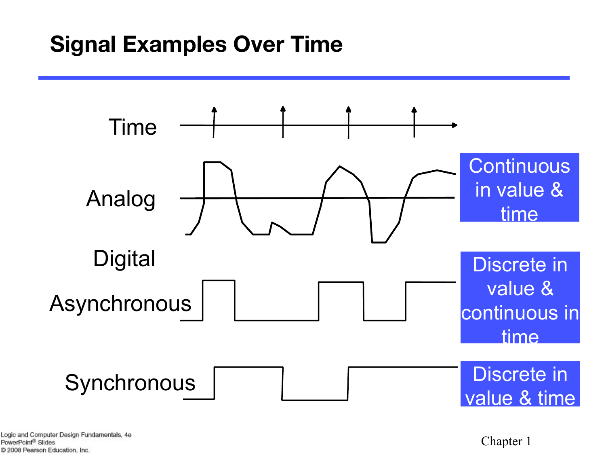### **Signal Examples Over Time**



Logic and Computer Design Fundamentals, 4e PowerPoint<sup>®</sup> Slides C 2008 Pearson Education, Inc.

Chapter 1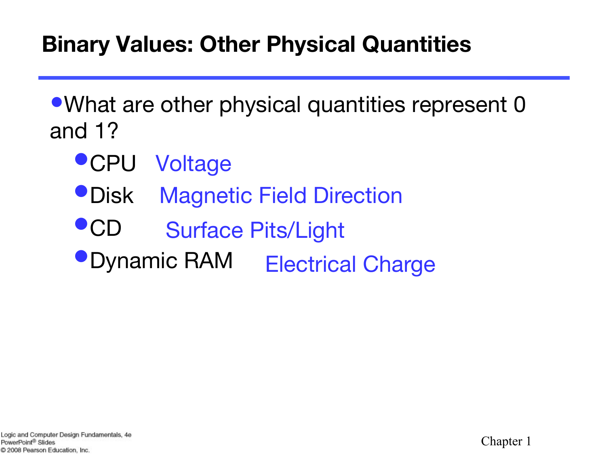### **Binary Values: Other Physical Quantities**

•What are other physical quantities represent 0 and 1?

- •CPU Voltage
- •Disk Magnetic Field Direction
- •CD Surface Pits/Light
- •Dynamic RAM Electrical Charge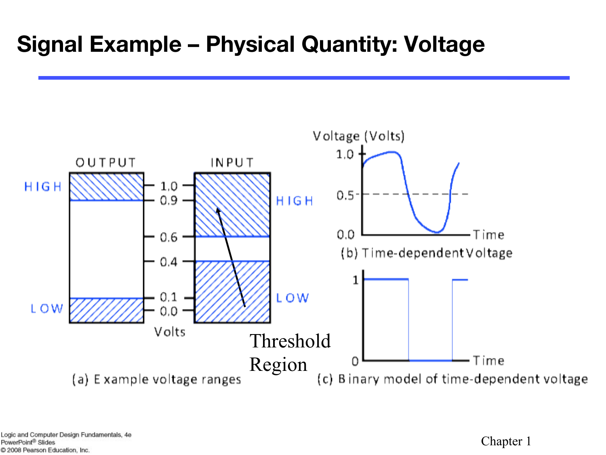### **Signal Example – Physical Quantity: Voltage**



Chapter 1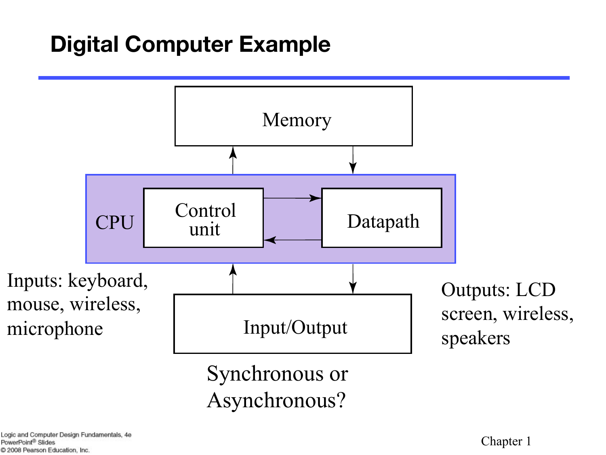### **Digital Computer Example**

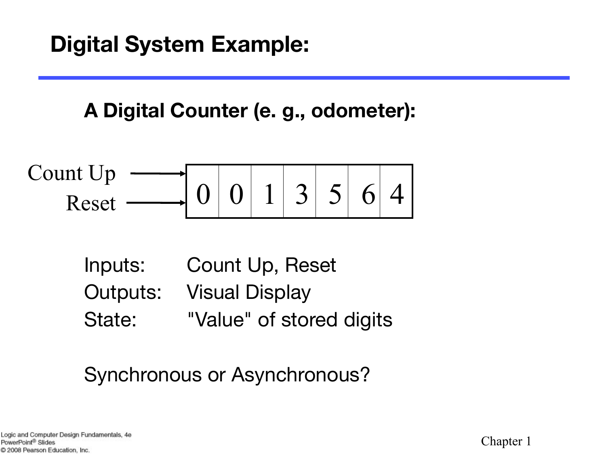**A Digital Counter (e. g., odometer):**

$$
\text{Count Up} \xrightarrow{\text{Rest}} \boxed{0 \mid 0 \mid 1 \mid 3 \mid 5 \mid 6 \mid 4}
$$

Inputs: Count Up, Reset Outputs: Visual Display State: "Value" of stored digits

### Synchronous or Asynchronous?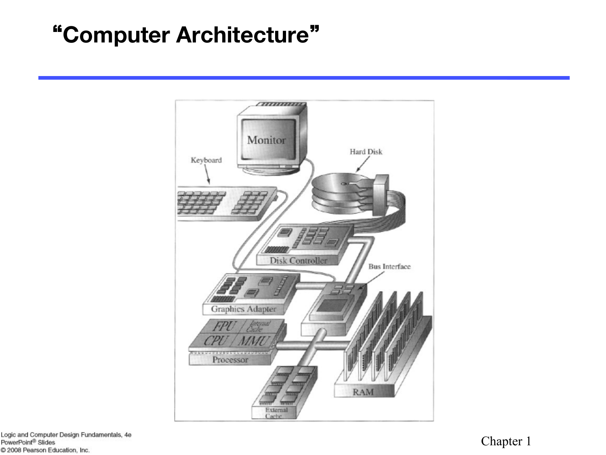### "**Computer Architecture**"



Logic and Computer Design Fundamentals, 4e PowerPoint® Slides C 2008 Pearson Education, Inc.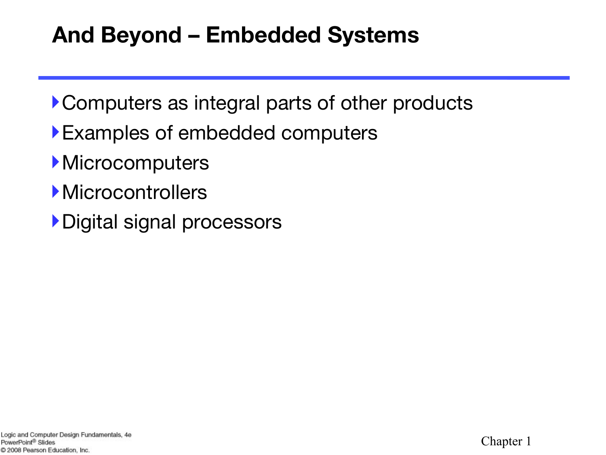### **And Beyond – Embedded Systems**

- ‣Computers as integral parts of other products
- ‣Examples of embedded computers
- **Microcomputers**
- **Microcontrollers**
- ‣Digital signal processors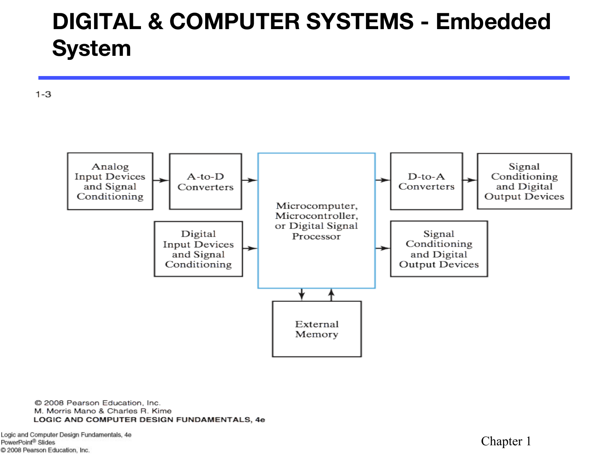### **DIGITAL & COMPUTER SYSTEMS - Embedded System**

 $1 - 3$ 



C 2008 Pearson Education, Inc. M. Morris Mano & Charles R. Kime LOGIC AND COMPUTER DESIGN FUNDAMENTALS, 4e

Logic and Computer Design Fundamentals, 4e PowerPoint® Slides C 2008 Pearson Education, Inc.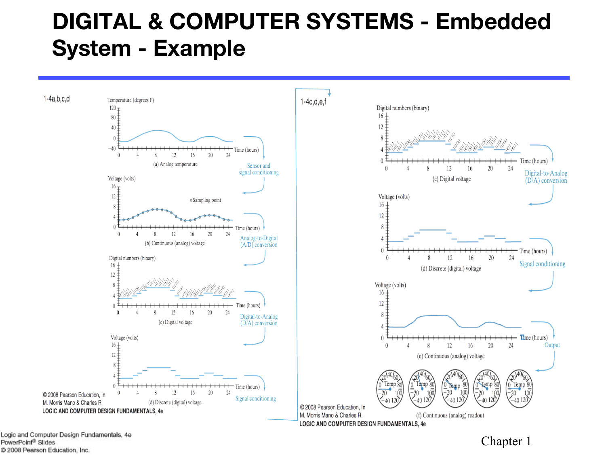### **DIGITAL & COMPUTER SYSTEMS - Embedded System - Example**



Logic and Computer Design Fundamentals, 4e PowerPoint<sup>®</sup> Slides C 2008 Pearson Education, Inc.

#### Chapter 1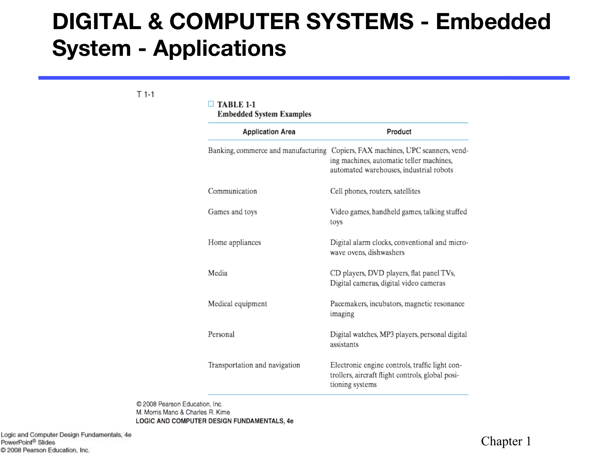### **DIGITAL & COMPUTER SYSTEMS - Embedded System - Applications**

 $T$ 1-1

#### $\Box$  TABLE 1-1

**Embedded System Examples** 

| <b>Application Area</b>       | Product                                                                                                                                                               |
|-------------------------------|-----------------------------------------------------------------------------------------------------------------------------------------------------------------------|
|                               | Banking, commerce and manufacturing Copiers, FAX machines, UPC scanners, vend-<br>ing machines, automatic teller machines,<br>automated warehouses, industrial robots |
| Communication                 | Cell phones, routers, satellites                                                                                                                                      |
| Games and toys                | Video games, handheld games, talking stuffed<br>toys                                                                                                                  |
| Home appliances               | Digital alarm clocks, conventional and micro-<br>wave ovens, dishwashers                                                                                              |
| Media                         | CD players, DVD players, flat panel TVs,<br>Digital cameras, digital video cameras                                                                                    |
| Medical equipment             | Pacemakers, incubators, magnetic resonance<br>imaging                                                                                                                 |
| Personal                      | Digital watches, MP3 players, personal digital<br>assistants                                                                                                          |
| Transportation and navigation | Electronic engine controls, traffic light con-<br>trollers, aircraft flight controls, global posi-<br>tioning systems                                                 |

C 2008 Pearson Education, Inc. M. Morris Mano & Charles R. Kime LOGIC AND COMPUTER DESIGN FUNDAMENTALS, 4e

Logic and Computer Design Fundamentals, 4e PowerPoint<sup>®</sup> Slides C 2008 Pearson Education, Inc.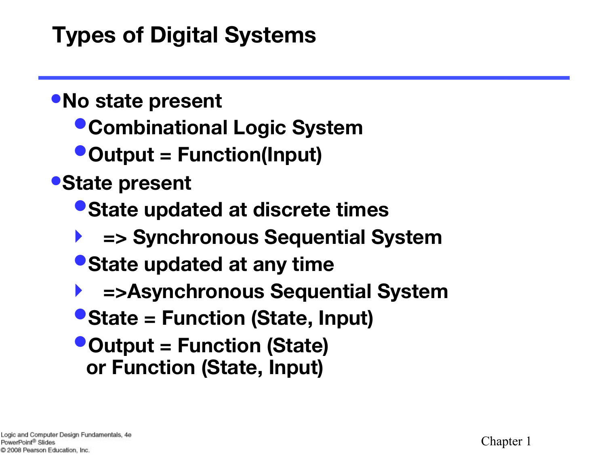### **Types of Digital Systems**

### •**No state present**

- •**Combinational Logic System**
- •**Output = Function(Input)**
- •**State present**
	- •**State updated at discrete times**
	- ‣ **=> Synchronous Sequential System**
	- •**State updated at any time**
	- ‣ **=>Asynchronous Sequential System**
	- •**State = Function (State, Input)**
	- •**Output = Function (State) or Function (State, Input)**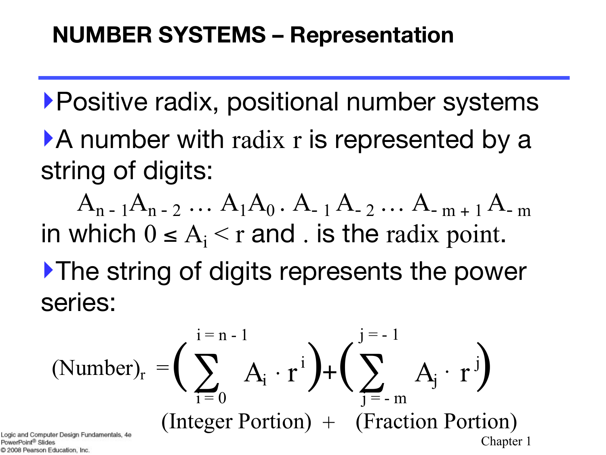‣Positive radix, positional number systems ‣A number with radix r is represented by a string of digits:

 $A_{n-1}A_{n-2} \ldots A_1A_0$ .  $A_{-1}A_{-2} \ldots A_{-m+1}A_{-m}$ in which  $0 \leq A_i \leq r$  and . is the radix point. ‣The string of digits represents the power series:

$$
(\text{Number})_{r} = \left(\sum_{i=0}^{i=n-1} A_{i} \cdot r^{i}\right) + \left(\sum_{j=-m}^{j=-1} A_{j} \cdot r^{j}\right)
$$
\n
$$
(\text{Integer Portfolio}) + (\text{Fraction Portfolio})
$$
\n
$$
\text{Chapter 1}\quad \text{Chapter 1}
$$

ªowerPoint® Slide C 2008 Pearson Education, Inc.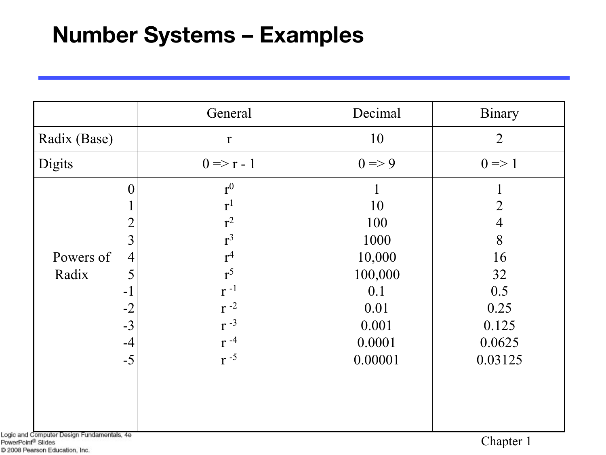### **Number Systems – Examples**

|                                                                                                    | General                                                                                      | Decimal                                               | Binary                            |
|----------------------------------------------------------------------------------------------------|----------------------------------------------------------------------------------------------|-------------------------------------------------------|-----------------------------------|
| Radix (Base)                                                                                       | $\mathbf{r}$                                                                                 | 10                                                    | $\overline{2}$                    |
| Digits                                                                                             | $0 \Rightarrow r - 1$                                                                        | $0 \Rightarrow 9$                                     | $0 \Rightarrow 1$                 |
| 0<br>$\overline{2}$<br>$\overline{3}$<br>Powers of<br>$\overline{4}$<br>Radix<br>5<br>$-1$<br>$-2$ | r <sup>0</sup><br>r <sup>1</sup><br>$r^2$<br>$r^3$<br>$r^4$<br>$r^5$<br>$r^{-1}$<br>$r^{-2}$ | 10<br>100<br>1000<br>10,000<br>100,000<br>0.1<br>0.01 | 4<br>8<br>16<br>32<br>0.5<br>0.25 |
| $-3$<br>$-4$<br>$-5$                                                                               | $r^{-3}$<br>$r^{-4}$<br>$r^{-5}$                                                             | 0.001<br>0.0001<br>0.00001                            | 0.125<br>0.0625<br>0.03125        |

Logic and Computer Design Fundamentals, 4e PowerPoint® Slides C 2008 Pearson Education, Inc.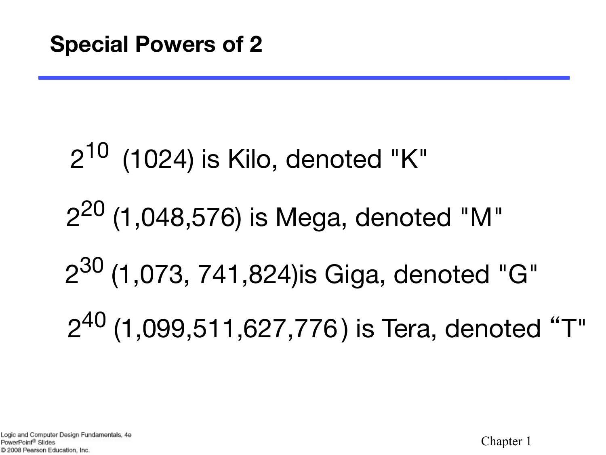# $2^{10}$  (1024) is Kilo, denoted "K" 220 (1,048,576) is Mega, denoted "M" 230 (1,073, 741,824)is Giga, denoted "G" 240 (1,099,511,627,776 ) is Tera, denoted "T"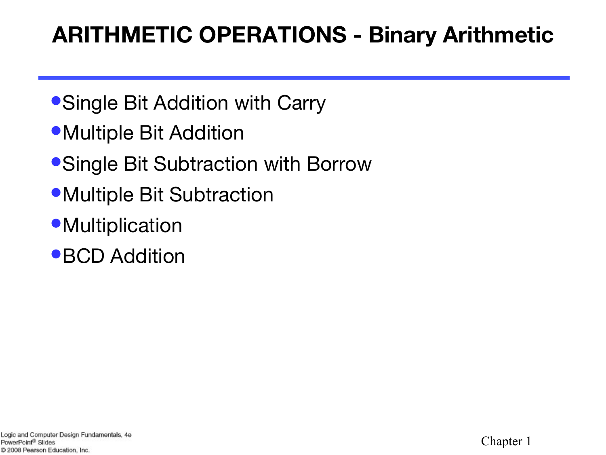### **ARITHMETIC OPERATIONS - Binary Arithmetic**

- Single Bit Addition with Carry
- Multiple Bit Addition
- •Single Bit Subtraction with Borrow
- Multiple Bit Subtraction
- **•Multiplication**
- •BCD Addition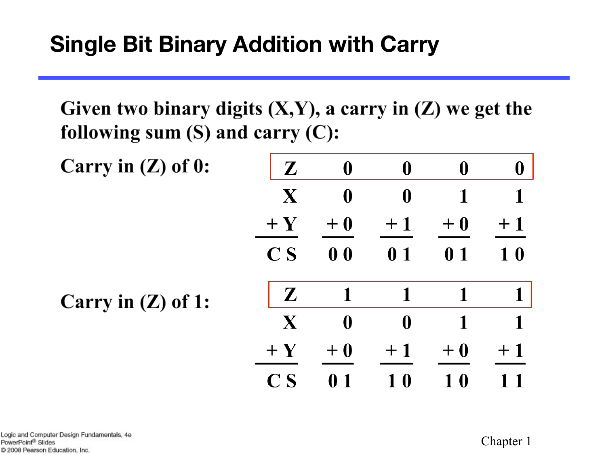Given two binary digits  $(X,Y)$ , a carry in  $(Z)$  we get the following sum  $(S)$  and carry  $(C)$ :

| Carry in $(Z)$ of 0: | $\mathbf{Z}$              | $\boldsymbol{0}$ | $\boldsymbol{0}$ | $\boldsymbol{0}$ | $\bf{0}$ |
|----------------------|---------------------------|------------------|------------------|------------------|----------|
|                      | X                         | $\boldsymbol{0}$ | $\boldsymbol{0}$ | 1                |          |
|                      | $+Y$                      | $+0$             | $+1$             | $+0$             | $+1$     |
|                      | $\overline{\mathbf{C}}$ S | 0 <sub>0</sub>   | 0 <sub>1</sub>   | 0 <sub>1</sub>   | 10       |
| Carry in $(Z)$ of 1: | $\mathbf{Z}$              | 1                | 1                | 1                | 1        |
|                      | $\mathbf X$               | $\boldsymbol{0}$ | $\boldsymbol{0}$ |                  |          |
|                      | $+Y$                      | $+0$             | $+1$             | $+0$             | $+1$     |
|                      | $\bf{C}$ S                | 0 1              | 10               | $\bf{0}$         |          |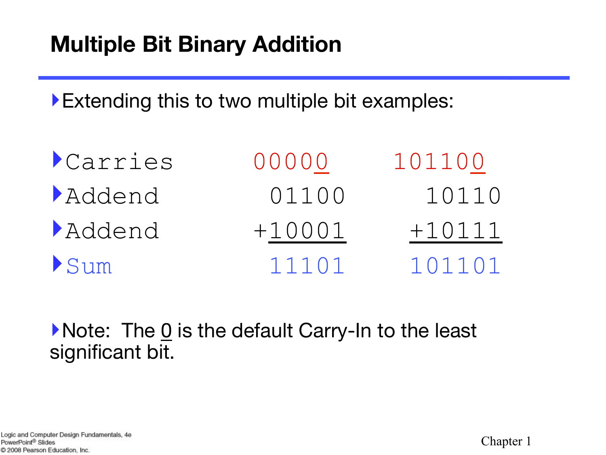### **Multiple Bit Binary Addition**

‣Extending this to two multiple bit examples:

| <i>Carries</i> | 00000    | 101100   |
|----------------|----------|----------|
| Addend         | 01100    | 10110    |
| Addend         | $+10001$ | $+10111$ |
| Sum            | 11101    | 101101   |

• Note: The <u>0</u> is the default Carry-In to the least significant bit.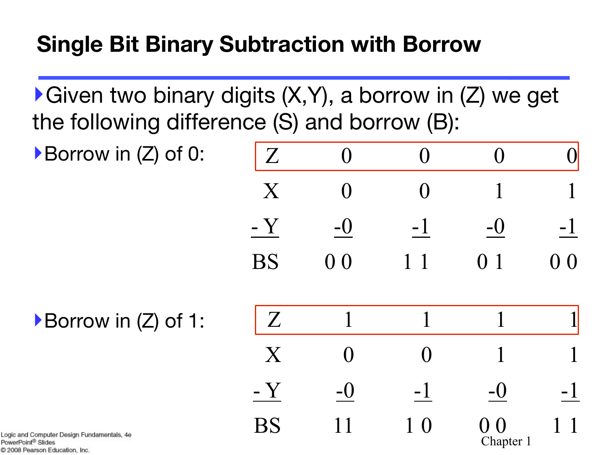### **Single Bit Binary Subtraction with Borrow**

 $\blacktriangleright$  Given two binary digits  $(X, Y)$ , a borrow in  $(Z)$  we get the following difference (S) and borrow (B):

‣Borrow in (Z) of 0:

| Z            | $\left( \right)$ | $\mathbf{\Omega}$ | $\mathbf \Omega$ |                |
|--------------|------------------|-------------------|------------------|----------------|
| $\mathbf{X}$ | $\overline{()}$  | $\mathbf{\Omega}$ |                  |                |
| $-Y$         | $-()$            | $-1$              | $-0$             | $-1$           |
| <b>BS</b>    | 0 <sub>0</sub>   | $1\quad1$         | 0 <sub>1</sub>   | 0 <sub>0</sub> |

▶Borrow in (Z) of 1:



Logic and Computer Design Fundamentals, 4e PowerPoint<sup>®</sup> Slides C 2008 Pearson Education, Inc.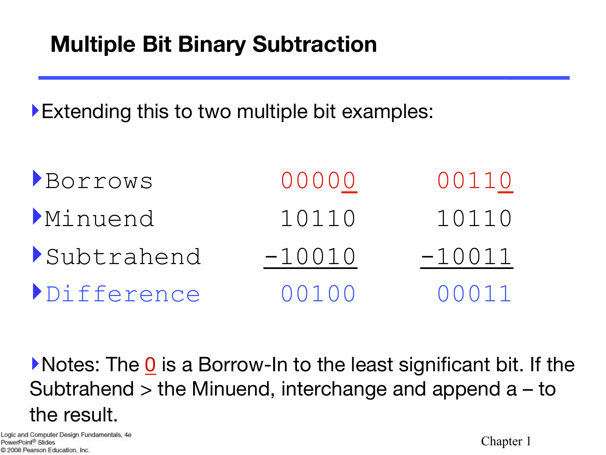### **Multiple Bit Binary Subtraction**

‣Extending this to two multiple bit examples:

| BOYYOWS    | 00000    | 00110    |
|------------|----------|----------|
| Minuend    | 10110    | 10110    |
| Subtrahend | $-10010$ | $-10011$ |
| Difference | 00100    | 00011    |

‣Notes: The 0 is a Borrow-In to the least significant bit. If the Subtrahend > the Minuend, interchange and append a – to the result.

Logic and Computer Design Fundamentals, 4e PowerPoint<sup>®</sup> Slides C 2008 Pearson Education, Inc.

Chapter 1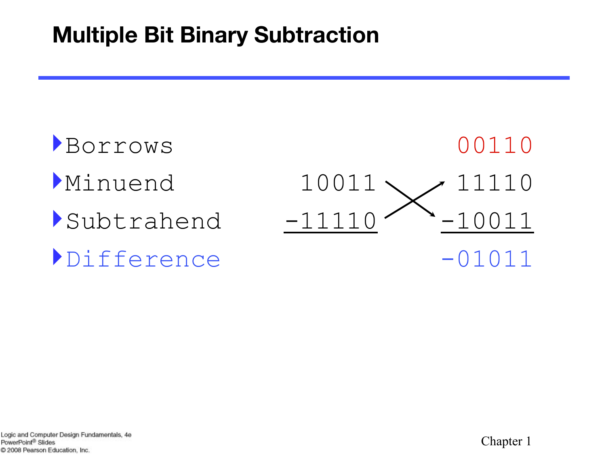### **Multiple Bit Binary Subtraction**

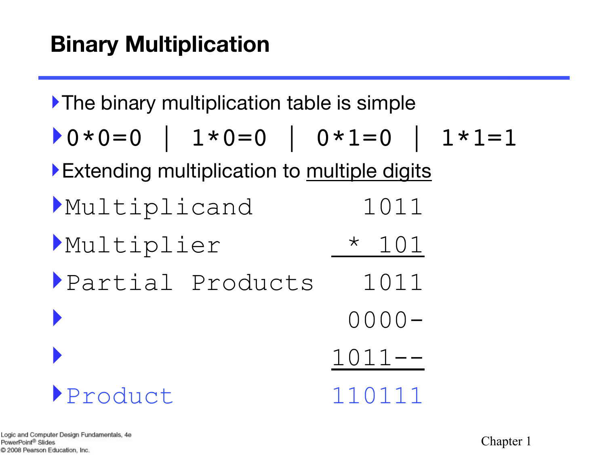‣The binary multiplication table is simple

$$
0*0=0 \quad | \quad 1*0=0 \quad | \quad 0*1=0 \quad | \quad 1*1=1
$$

▶ Extending multiplication to multiple digits

| Multiplicand     | 1011        |
|------------------|-------------|
| Multiplier       | $\star$ 101 |
| Partial Products | 1011        |
|                  | $0000 -$    |
|                  | $1011--$    |
| Product          | 110111      |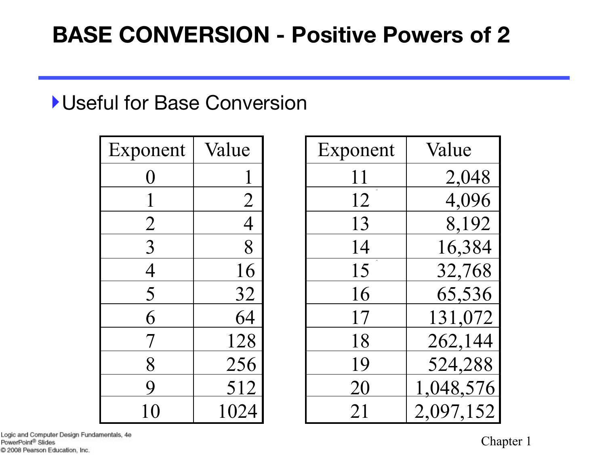### **BASE CONVERSION - Positive Powers of 2**

#### ‣Useful for Base Conversion

| Exponent       | Value          |
|----------------|----------------|
| $\big($ )      |                |
|                | $\overline{2}$ |
| $\overline{2}$ | $\overline{4}$ |
| $\overline{3}$ | 8              |
| 4              | 16             |
| 5              | 32             |
| 6              | 64             |
| 7              | 128            |
| 8              | 256            |
| 9              | <u>512</u>     |
| 10             | 1024           |

| Exponent       | Value          | Exponent | Value     |
|----------------|----------------|----------|-----------|
|                |                | 11       | 2,048     |
|                | $\overline{2}$ | 12       | 4,096     |
| $\overline{2}$ | $\overline{4}$ | 13       | 8,192     |
| $\overline{3}$ | 8              | 14       | 16,384    |
| 4              | 16             | 15       | 32,768    |
| 5              | 32             | 16       | 65,536    |
| 6              | 64             | 17       | 131,072   |
|                | 128            | 18       | 262,144   |
| 8              | 256            | 19       | 524,288   |
|                | 512            | 20       | 1,048,576 |
|                | 1024           | 21       | 2,097,152 |

Logic and Computer Design Fundamentals, 4e PowerPoint® Slides C 2008 Pearson Education, Inc.

Chapter 1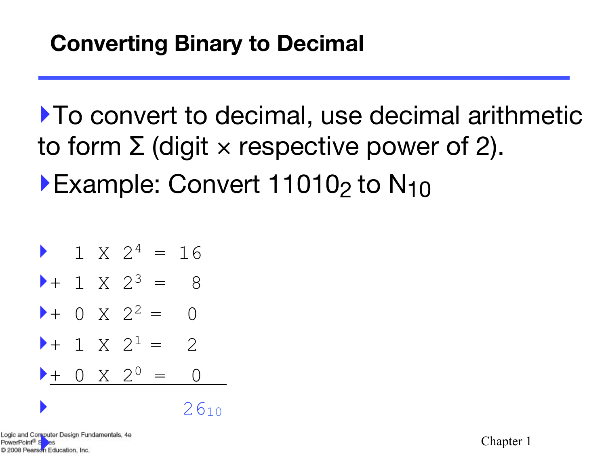‣To convert to decimal, use decimal arithmetic to form  $\Sigma$  (digit x respective power of 2). ▶Example: Convert 11010<sub>2</sub> to N<sub>10</sub>

$$
1 X 24 = 16
$$
  
\n
$$
1 X 23 = 8
$$
  
\n
$$
1 X 23 = 8
$$
  
\n
$$
1 X 22 = 0
$$
  
\n
$$
1 X 21 = 2
$$
  
\n
$$
1 X 20 = 0
$$
  
\n
$$
1 X 20 = 0
$$
  
\n
$$
2610
$$

Logic and Computer Design Fundamentals, 4e<br>PowerPoint<sup>®</sup> Sesse<br>© 2008 Pearson Education, Inc.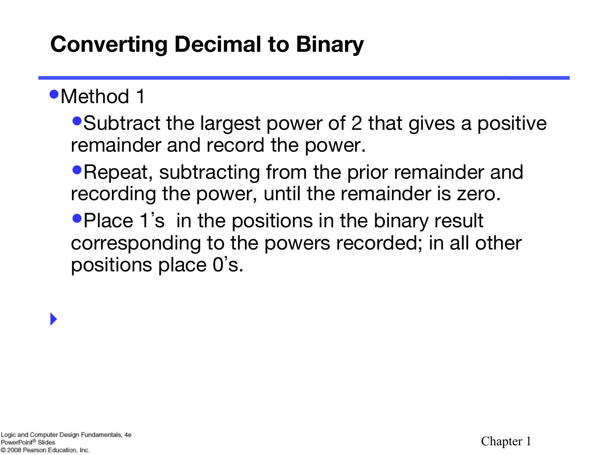### **Converting Decimal to Binary**

### •Method 1

• Subtract the largest power of 2 that gives a positive remainder and record the power.

• Repeat, subtracting from the prior remainder and recording the power, until the remainder is zero.

•Place 1's in the positions in the binary result corresponding to the powers recorded; in all other positions place 0' s.

‣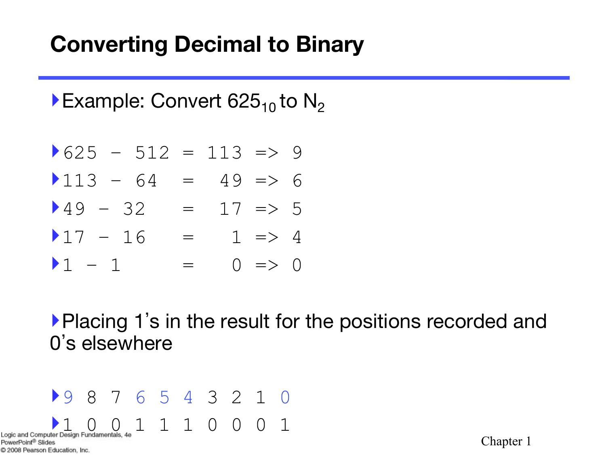### **Converting Decimal to Binary**

Example: Convert  $625_{10}$  to N<sub>2</sub>

- $\blacktriangleright$  625 512 = 113 => 9
- $\blacktriangleright$  113 64 = 49 => 6
- $\blacktriangleright$  49 32 = 17 => 5
- $17 16 = 1 \Rightarrow 4$
- $\bullet$  1 1 = 0 => 0

‣Placing 1's in the result for the positions recorded and 0's elsewhere

‣9 8 7 6 5 4 3 2 1 0 Logic and Computer Design Fundamentals,  $4e$   $1$   $1$   $1$   $0$   $0$   $1$ PowerPoint<sup>®</sup> Slides C 2008 Pearson Education, Inc.

Chapter 1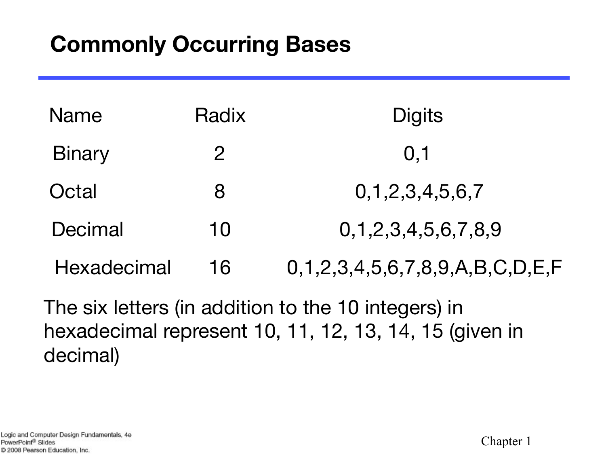### **Commonly Occurring Bases**

| <b>Name</b>    | Radix        | <b>Digits</b>                                    |
|----------------|--------------|--------------------------------------------------|
| <b>Binary</b>  | $\mathcal P$ | 0, 1                                             |
| Octal          | 8            | 0, 1, 2, 3, 4, 5, 6, 7                           |
| <b>Decimal</b> | 10           | 0,1,2,3,4,5,6,7,8,9                              |
| Hexadecimal    | 16           | $0, 1, 2, 3, 4, 5, 6, 7, 8, 9, A, B, C, D, E, F$ |
|                |              |                                                  |

The six letters (in addition to the 10 integers) in hexadecimal represent 10, 11, 12, 13, 14, 15 (given in decimal)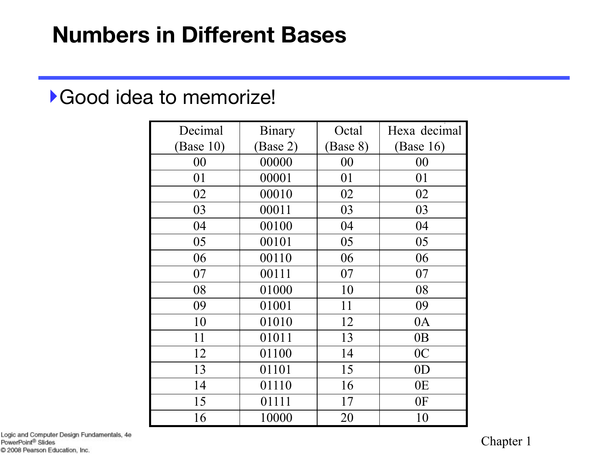#### ‣Good idea to memorize!

| Decimal   | Binary   | Octal    | Hexa decimal   |
|-----------|----------|----------|----------------|
| (Base 10) | (Base 2) | (Base 8) | (Base 16)      |
| 00        | 00000    | 00       | 00             |
| 01        | 00001    | 01       | 01             |
| 02        | 00010    | 02       | 02             |
| 03        | 00011    | 03       | 03             |
| 04        | 00100    | 04       | 04             |
| 05        | 00101    | 05       | 05             |
| 06        | 00110    | 06       | 06             |
| 07        | 00111    | 07       | 07             |
| 08        | 01000    | 10       | 08             |
| 09        | 01001    | 11       | 09             |
| 10        | 01010    | 12       | 0A             |
| 11        | 01011    | 13       | 0B             |
| 12        | 01100    | 14       | 0 <sup>C</sup> |
| 13        | 01101    | 15       | 0 <sub>D</sub> |
| 14        | 01110    | 16       | 0E             |
| 15        | 01111    | 17       | 0F             |
| 16        | 10000    | 20       | 10             |

Logic and Computer Design Fundamentals, 4e PowerPoint<sup>®</sup> Slides C 2008 Pearson Education, Inc.

Chapter 1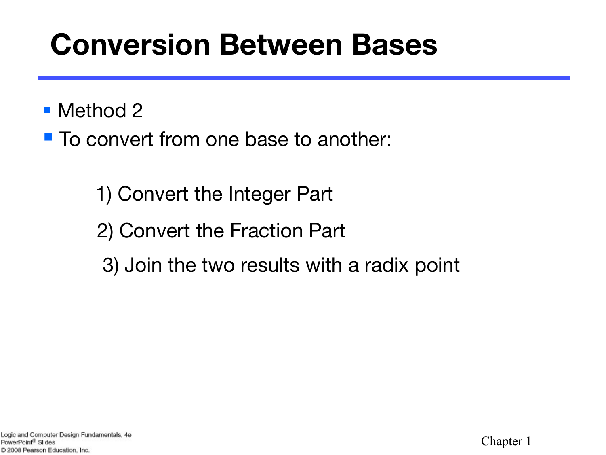# **Conversion Between Bases**

### ■ Method 2

■ To convert from one base to another:

- 1) Convert the Integer Part
- 2) Convert the Fraction Part
- 3) Join the two results with a radix point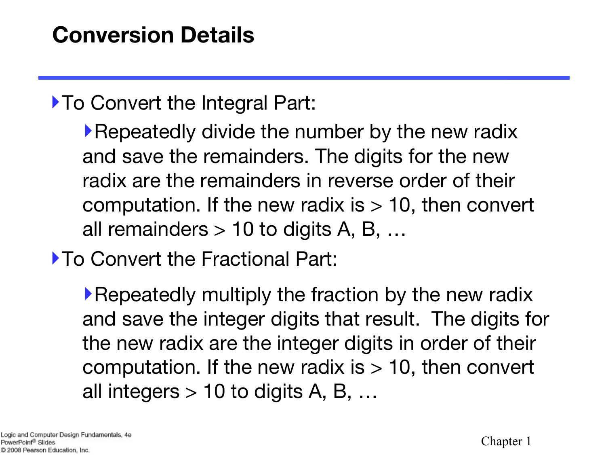### ‣To Convert the Integral Part:

‣Repeatedly divide the number by the new radix and save the remainders. The digits for the new radix are the remainders in reverse order of their computation. If the new radix is  $> 10$ , then convert all remainders  $> 10$  to digits A, B, ...

‣To Convert the Fractional Part:

‣Repeatedly multiply the fraction by the new radix and save the integer digits that result. The digits for the new radix are the integer digits in order of their computation. If the new radix is  $> 10$ , then convert all integers  $> 10$  to digits A, B, ...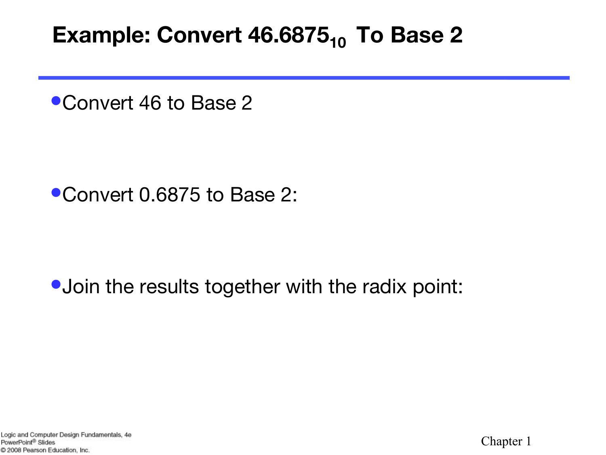### **Example: Convert 46.6875<sub>10</sub> To Base 2**

•Convert 46 to Base 2

•Convert 0.6875 to Base 2:

### • Join the results together with the radix point:

Logic and Computer Design Fundamentals, 4e PowerPoint<sup>®</sup> Slides C 2008 Pearson Education, Inc.

Chapter 1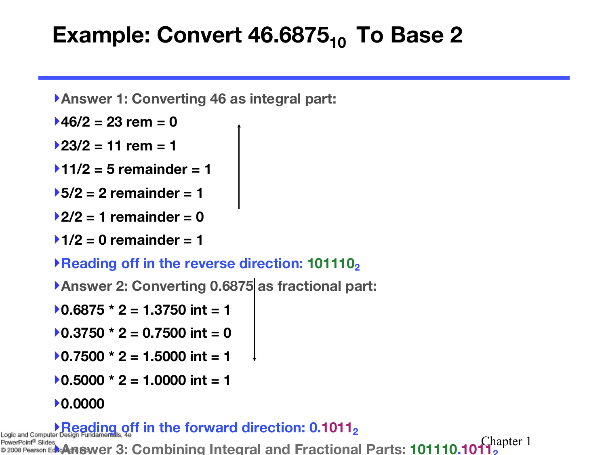### **Example: Convert 46.6875<sub>10</sub> To Base 2**

- ‣**Answer 1: Converting 46 as integral part:**
- ‣**46/2 = 23 rem = 0**
- ‣**23/2 = 11 rem = 1**
- ‣**11/2 = 5 remainder = 1**
- ‣**5/2 = 2 remainder = 1**
- ‣**2/2 = 1 remainder = 0**
- ‣**1/2 = 0 remainder = 1**
- ▶Reading off in the reverse direction: 101110<sub>2</sub>
- ‣**Answer 2: Converting 0.6875 as fractional part:**
- $\blacktriangleright$  0.6875  $\star$  2 = 1.3750 int = 1
- $\rightarrow$  0.3750  $\star$  2 = 0.7500 int = 0
- $\blacktriangleright$  0.7500  $\star$  2 = 1.5000 int = 1
- $\blacktriangleright$  0.5000  $\ast$  2 = 1.0000 int = 1

#### ‣**0.0000**

#### **Reading off in the forward direction: 0.1011,**

Chapter 1 **Answer 3: Combining Integral and Fractional Parts: 101110.10112**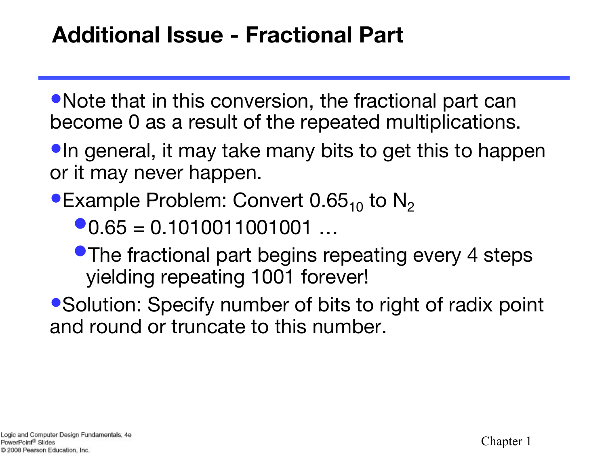### **Additional Issue - Fractional Part**

• Note that in this conversion, the fractional part can become 0 as a result of the repeated multiplications.

•In general, it may take many bits to get this to happen or it may never happen.

•Example Problem: Convert  $0.65<sub>10</sub>$  to N<sub>2</sub>

 $\bullet$ 0.65 = 0.1010011001001 …

•The fractional part begins repeating every 4 steps yielding repeating 1001 forever!

• Solution: Specify number of bits to right of radix point and round or truncate to this number.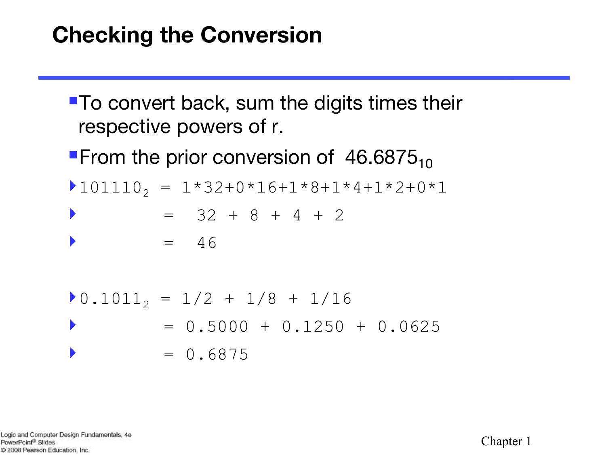### **Checking the Conversion**

- To convert back, sum the digits times their respective powers of r.
- **From the prior conversion of 46.6875**<sub>10</sub>
- $\blacktriangleright$  101110, = 1\*32+0\*16+1\*8+1\*4+1\*2+0\*1
- $= 32 + 8 + 4 + 2$
- $\bullet$  = 46

$$
0.10112 = 1/2 + 1/8 + 1/16
$$
  
= 0.5000 + 0.1250 + 0.0625  
= 0.6875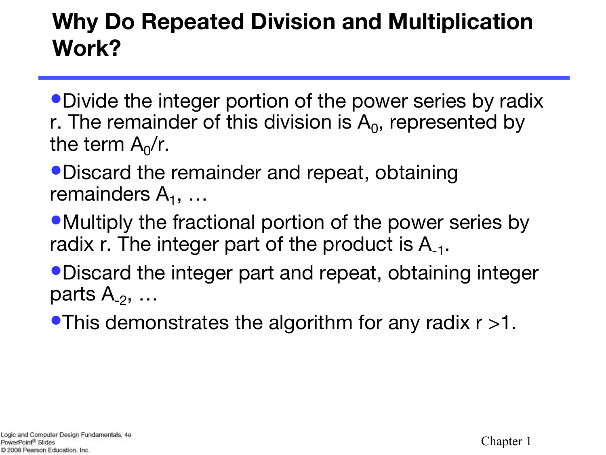### **Why Do Repeated Division and Multiplication Work?**

•Divide the integer portion of the power series by radix r. The remainder of this division is  $A_0$ , represented by the term  $A_0/r$ .

•Discard the remainder and repeat, obtaining remainders  $A_1, \ldots$ 

• Multiply the fractional portion of the power series by radix r. The integer part of the product is  $A_{-1}$ .

•Discard the integer part and repeat, obtaining integer parts  $A_{-2}$ , ...

•This demonstrates the algorithm for any radix r >1.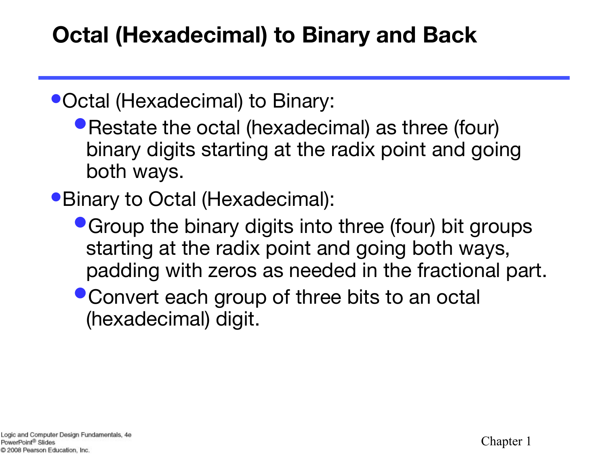### **Octal (Hexadecimal) to Binary and Back**

•Octal (Hexadecimal) to Binary:

• Restate the octal (hexadecimal) as three (four) binary digits starting at the radix point and going both ways.

•Binary to Octal (Hexadecimal):

- Group the binary digits into three (four) bit groups starting at the radix point and going both ways, padding with zeros as needed in the fractional part.
- Convert each group of three bits to an octal (hexadecimal) digit.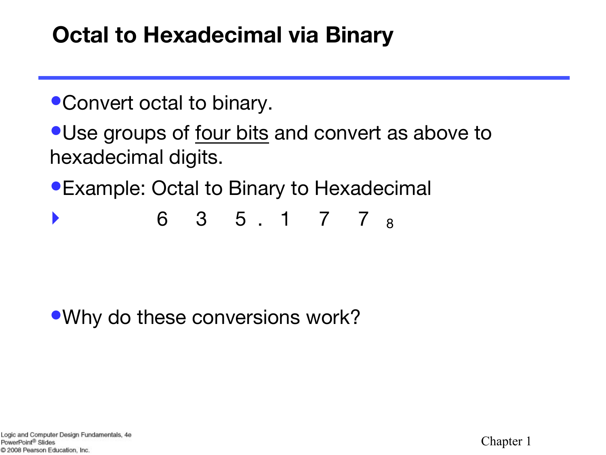### **Octal to Hexadecimal via Binary**

- •Convert octal to binary.
- Use groups of four bits and convert as above to hexadecimal digits.
- •Example: Octal to Binary to Hexadecimal
- ‣ 6 3 5 . 1 7 7 8

•Why do these conversions work?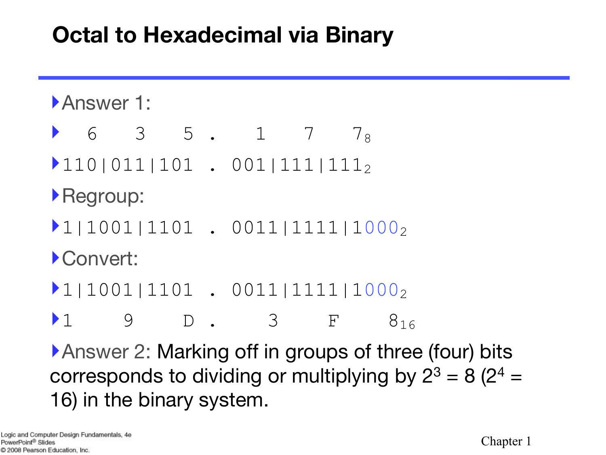### **Octal to Hexadecimal via Binary**

- **Answer 1:**
- 6 3 5 . 1 7 7 x
- $\blacktriangleright$ 110|011|101 . 001|111|111<sub>2</sub>
- ‣Regroup:
- $\blacktriangleright$ 1|1001|1101 . 0011|1111|1000<sub>2</sub>
- ‣Convert:
- $\blacktriangleright$ 1|1001|1101 . 0011|1111|1000<sub>2</sub>
- $\triangleright$  1 9 D. 3 F  $8_{16}$

▶Answer 2: Marking off in groups of three (four) bits corresponds to dividing or multiplying by  $2^3 = 8 (2^4 =$ 16) in the binary system.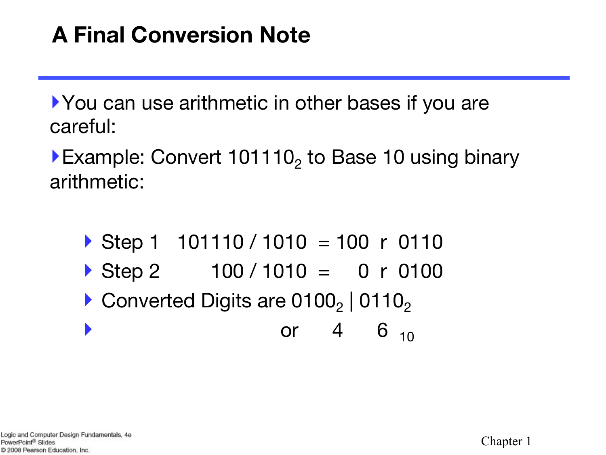### **A Final Conversion Note**

‣You can use arithmetic in other bases if you are careful:

Example: Convert 101110, to Base 10 using binary arithmetic:

- Step 1  $101110 / 1010 = 100$  r 0110
- $\triangleright$  Step 2 100 / 1010 = 0 r 0100
- $\triangleright$  Converted Digits are 0100<sub>2</sub> | 0110<sub>2</sub>
- $\bullet$  or 4 6  $_{10}$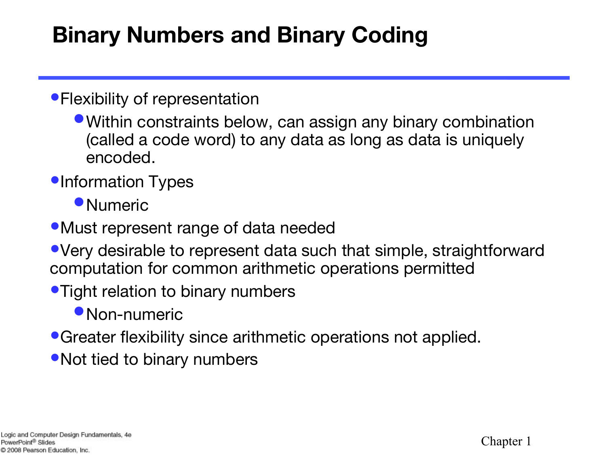### **Binary Numbers and Binary Coding**

#### • Flexibility of representation

•Within constraints below, can assign any binary combination (called a code word) to any data as long as data is uniquely encoded.

#### **•Information Types**

- Numeric
- •Must represent range of data needed
- •Very desirable to represent data such that simple, straightforward computation for common arithmetic operations permitted
- Tight relation to binary numbers
	- Non-numeric
- •Greater flexibility since arithmetic operations not applied.
- Not tied to binary numbers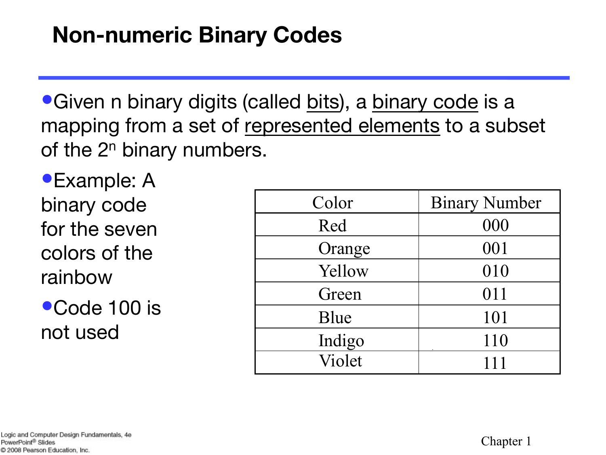### **Non-numeric Binary Codes**

•Given n binary digits (called bits), a binary code is a mapping from a set of represented elements to a subset of the  $2<sup>n</sup>$  binary numbers.

•Example: A binary code for the seven colors of the rainbow

●Code 100 is not used

| Color  | <b>Binary Number</b> |
|--------|----------------------|
| Red    | 000                  |
| Orange | 001                  |
| Yellow | 010                  |
| Green  | 011                  |
| Blue   | 101                  |
| Indigo | 110                  |
| Violet | 111                  |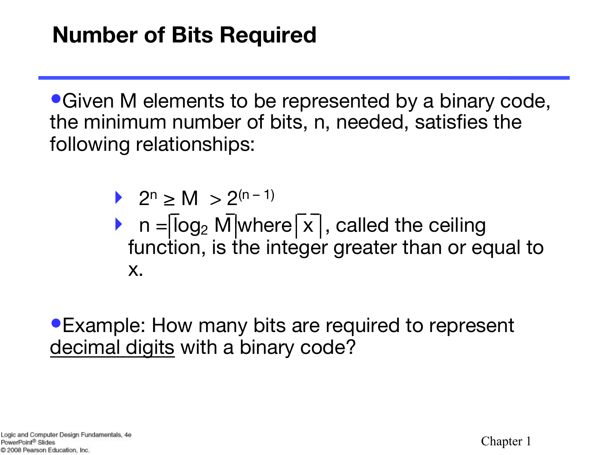•Given M elements to be represented by a binary code, the minimum number of bits, n, needed, satisfies the following relationships:

- ▶ 2<sup>n</sup> > M > 2<sup>(n-1)</sup>
- $n = \sqrt{\log_2 N}$  where  $\sqrt{x}$ , called the ceiling function, is the integer greater than or equal to x.

•Example: How many bits are required to represent decimal digits with a binary code?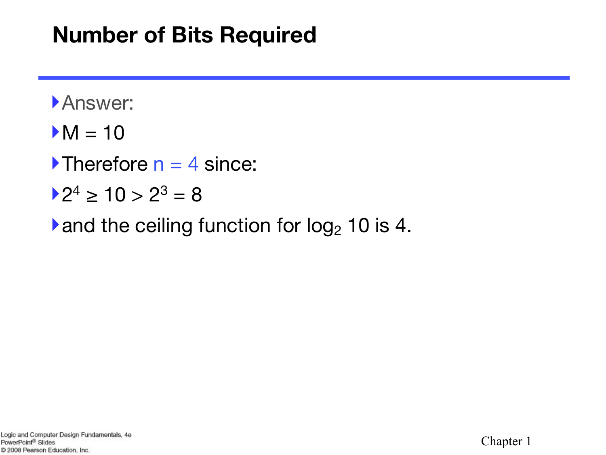### **Number of Bits Required**

- ‣Answer:
- $>M = 10$
- $\blacktriangleright$ Therefore n = 4 since:
- $\blacktriangleright$  2<sup>4</sup>  $\geq$  10  $>$  2<sup>3</sup> = 8
- $\blacktriangleright$  and the ceiling function for log<sub>2</sub> 10 is 4.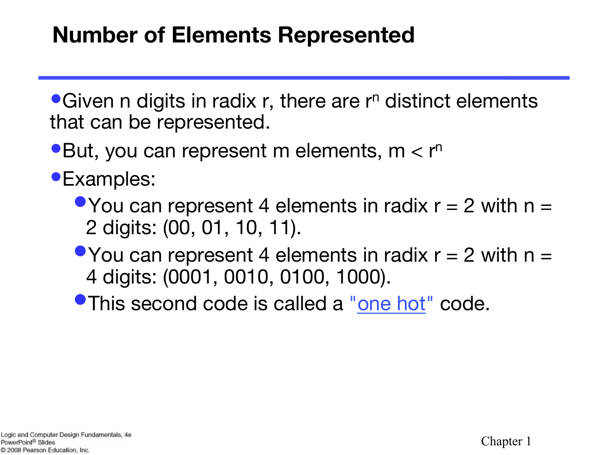### **Number of Elements Represented**

 $\bullet$  Given n digits in radix r, there are r<sup>n</sup> distinct elements that can be represented.

- •But, you can represent m elements,  $m < r<sup>n</sup>$
- •Examples:
	- You can represent 4 elements in radix  $r = 2$  with  $n = 1$ 2 digits: (00, 01, 10, 11).
	- You can represent 4 elements in radix  $r = 2$  with  $n = 1$ 4 digits: (0001, 0010, 0100, 1000).
	- **•This second code is called a "one hot" code.**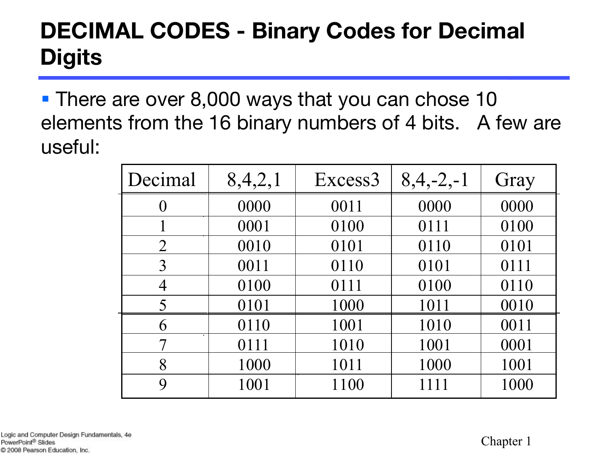### **DECIMAL CODES - Binary Codes for Decimal Digits**

■ There are over 8,000 ways that you can chose 10 elements from the 16 binary numbers of 4 bits. A few are useful:

| Decimal          | 8,4,2,1 | Excess3 | $8,4,-2,-1$ | Gray |
|------------------|---------|---------|-------------|------|
| $\overline{0}$   | 0000    | 0011    | 0000        | 0000 |
|                  | 0001    | 0100    | 0111        | 0100 |
| $\overline{2}$   | 0010    | 0101    | 0110        | 0101 |
| 3                | 0011    | 0110    | 0101        | 0111 |
| $\overline{4}$   | 0100    | 0111    | 0100        | 0110 |
| 5                | 0101    | 1000    | 1011        | 0010 |
| 6                | 0110    | 1001    | 1010        | 0011 |
|                  | 0111    | 1010    | 1001        | 0001 |
| 8                | 1000    | 1011    | 1000        | 1001 |
| $\boldsymbol{Q}$ | 1001    | 1100    | 1111        | 1000 |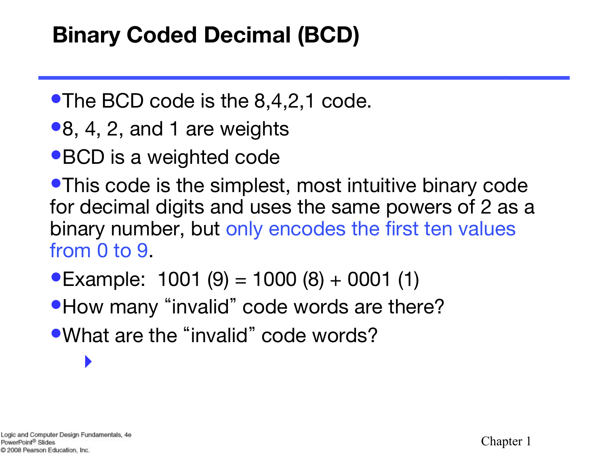### **Binary Coded Decimal (BCD)**

- •The BCD code is the 8,4,2,1 code.
- •8, 4, 2, and 1 are weights
- •BCD is a weighted code

•This code is the simplest, most intuitive binary code for decimal digits and uses the same powers of 2 as a binary number, but only encodes the first ten values from 0 to 9.

- •Example:  $1001 (9) = 1000 (8) + 0001 (1)$
- How many "invalid" code words are there?
- •What are the "invalid" code words?

‣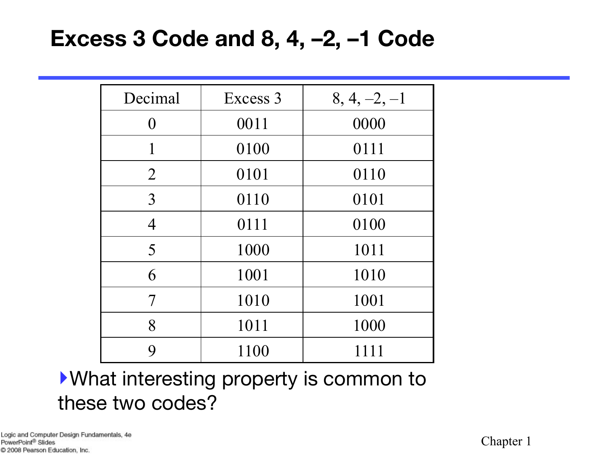### **Excess 3 Code and 8, 4, –2, –1 Code**

| Decimal          | Excess 3 | $8, 4, -2, -1$ |
|------------------|----------|----------------|
| $\Omega$         | 0011     | 0000           |
| 1                | 0100     | 0111           |
| $\overline{2}$   | 0101     | 0110           |
| 3                | 0110     | 0101           |
| $\overline{4}$   | 0111     | 0100           |
| 5                | 1000     | 1011           |
| 6                | 1001     | 1010           |
| 7                | 1010     | 1001           |
| 8                | 1011     | 1000           |
| $\boldsymbol{Q}$ | 1100     | 1111           |

‣What interesting property is common to these two codes?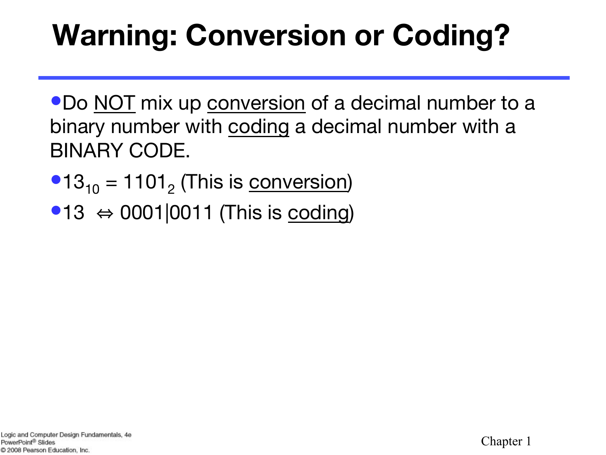# **Warning: Conversion or Coding?**

•Do NOT mix up conversion of a decimal number to a binary number with coding a decimal number with a BINARY CODE.

- $•13_{10} = 1101_{2}$  (This is conversion)
- $•13 \Leftrightarrow 0001|0011$  (This is coding)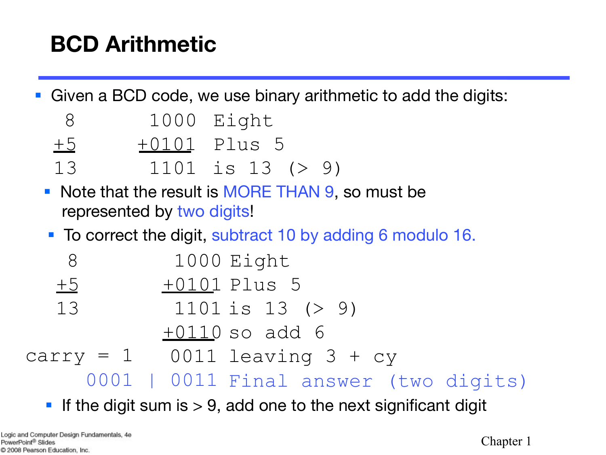### **BCD Arithmetic**

■ Given a BCD code, we use binary arithmetic to add the digits:

| 1000<br>8 | Eight |
|-----------|-------|
|-----------|-------|

- +5 +0101 Plus 5
- 13 1101 is 13 (> 9)
- Note that the result is MORE THAN 9, so must be represented by two digits!
- To correct the digit, subtract 10 by adding 6 modulo 16.

| 8       | 1000 Eight                            |  |
|---------|---------------------------------------|--|
| $\pm 5$ | <u>+010</u> 1 Plus 5                  |  |
| 13      | $1101$ is $13$ (> 9)                  |  |
|         | $+0110$ so add 6                      |  |
|         | $carry = 1$ 0011 leaving 3 + cy       |  |
|         | 0001   0011 Final answer (two digits) |  |
|         |                                       |  |

**•** If the digit sum is  $> 9$ , add one to the next significant digit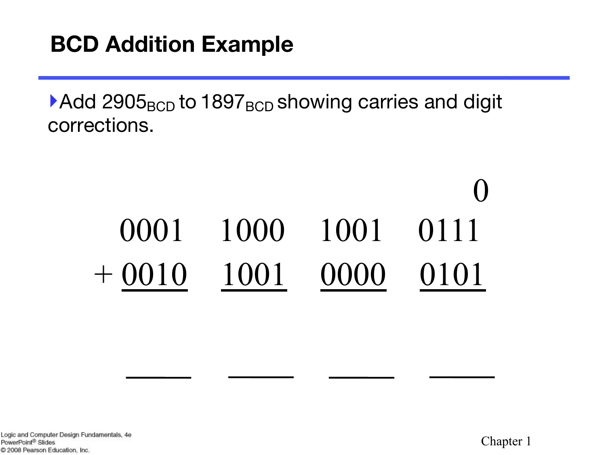### **BCD Addition Example**

 $\blacktriangleright$  Add 2905<sub>BCD</sub> to 1897<sub>BCD</sub> showing carries and digit corrections.

# 0001 1000 1001 0111 + 0010 1001 0000 0101 0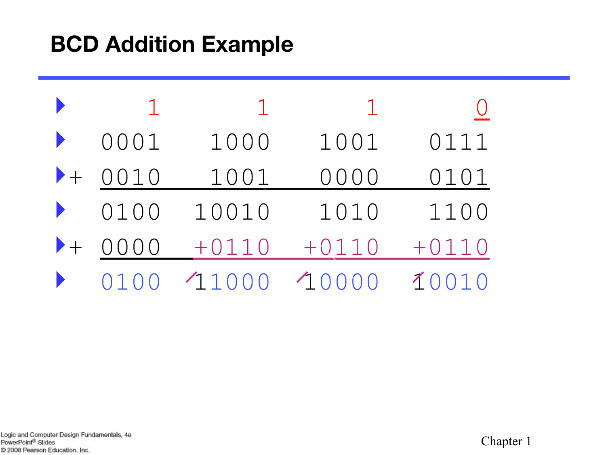### **BCD Addition Example**

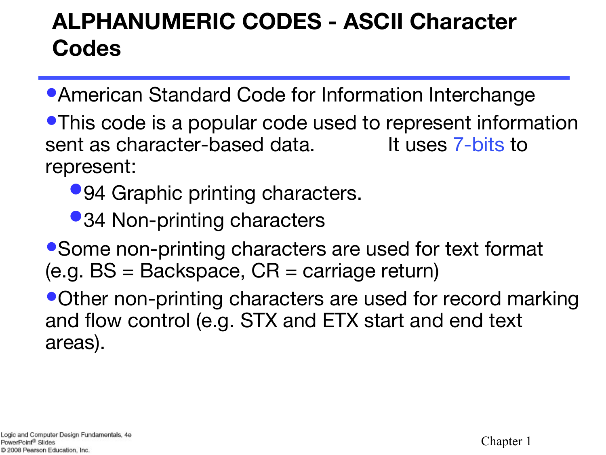### **ALPHANUMERIC CODES - ASCII Character Codes**

- •American Standard Code for Information Interchange
- •This code is a popular code used to represent information sent as character-based data. It uses 7-bits to represent:
	- •94 Graphic printing characters.
	- •34 Non-printing characters
- •Some non-printing characters are used for text format (e.g. BS = Backspace, CR = carriage return)

•Other non-printing characters are used for record marking and flow control (e.g. STX and ETX start and end text areas).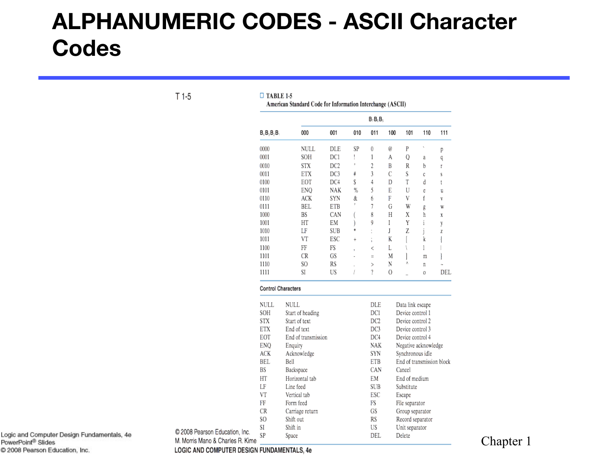### **ALPHANUMERIC CODES - ASCII Character Codes**

 $T1-5$ 

 $\Box$  TABLE 1-5 American Standard Code for Information Interchange (ASCII)

|                           |                     | $B_7B_5B_5$     |                          |                      |                        |                           |     |     |  |
|---------------------------|---------------------|-----------------|--------------------------|----------------------|------------------------|---------------------------|-----|-----|--|
| $B_4B_3B_2B_3$            | 000                 | 001             | 010                      | 011                  | 100                    | 101                       | 110 | 111 |  |
| 0000                      | NULL                | DLE             | SP                       | 0                    | e                      | P                         | ١   | p   |  |
| 0001                      | SOH                 | DC1             | I                        | 1                    | A                      | Q                         | a   | q   |  |
| 0010                      | <b>STX</b>          | DC <sub>2</sub> | ħ                        | $\overline{c}$       | Β                      | R                         | b   | ľ   |  |
| 0011                      | ETX                 | DC3             | ¥                        | 3                    | C                      | S                         | C   | s   |  |
| 0100                      | EOT                 | DC4             | Ŝ                        | 4                    | D                      | T                         | d   | t   |  |
| 0101                      | ENQ                 | NAK             | %                        | 5                    | E                      | U                         | Ĉ   | u   |  |
| 0110                      | ACK                 | SYN             | &                        | 6                    | F                      | ٧                         | f   | V   |  |
| 0111                      | BEL                 | ETB             |                          | 7                    | G                      | W                         | g   | W   |  |
| 1000                      | BS                  | CAN             |                          | 8                    | Η                      | X                         | 'n  | X   |  |
| 1001                      | НT                  | EМ              |                          | 9                    | I                      | Y                         | i   | y   |  |
| 1010                      | LF                  | SUB             |                          |                      | J                      | Z                         | j   | Z   |  |
| 1011                      | VT                  | ESC             | $\ddot{}$                | ;                    | K                      |                           | k   |     |  |
| 1100                      | FF                  | FS              | $\overline{\phantom{a}}$ | <                    | L                      |                           | l   |     |  |
| 1101                      | CR                  | GS              |                          | $\equiv$             | M                      |                           | m   |     |  |
| 1110                      | SO                  | RS              |                          | >                    | N                      | ٨                         | I   |     |  |
| 1111                      | SI                  | US              | I                        | ?                    | 0                      |                           | 0   | DEL |  |
| <b>Control Characters</b> |                     |                 |                          |                      |                        |                           |     |     |  |
| NULL                      | <b>NULL</b>         |                 |                          | DLE                  |                        | Data link escape          |     |     |  |
| SOH                       | Start of heading    |                 |                          | DC1                  |                        | Device control 1          |     |     |  |
| STX                       | Start of text       |                 |                          | DC <sub>2</sub>      |                        | Device control 2          |     |     |  |
| ETX                       | End of text         |                 |                          | DC3                  |                        | Device control 3          |     |     |  |
| EOT                       | End of transmission |                 |                          | DC4                  |                        | Device control 4          |     |     |  |
| ENQ                       | Enquiry             |                 |                          | NAK                  |                        | Negative acknowledge      |     |     |  |
| ACK                       | Acknowledge         |                 |                          |                      |                        | Synchronous idle          |     |     |  |
| BEL                       | Bell                |                 |                          | ETB                  |                        | End of transmission block |     |     |  |
| BS                        | Backspace           |                 |                          | CAN                  |                        | Cancel                    |     |     |  |
| НT                        | Horizontal tab      |                 |                          | EМ<br>End of medium  |                        |                           |     |     |  |
| LF                        | Line feed           |                 |                          | SUB<br>Substitute    |                        |                           |     |     |  |
| VT                        | Vertical tab        |                 |                          | ESC<br>Escape        |                        |                           |     |     |  |
| FF                        | Form feed           |                 |                          | FS<br>File separator |                        |                           |     |     |  |
| CR                        | Carriage return     |                 |                          |                      | GS<br>Group separator  |                           |     |     |  |
| SO                        | Shift out           |                 |                          |                      | RS<br>Record separator |                           |     |     |  |
| SI                        | Shift in            |                 |                          | US                   | Unit separator         |                           |     |     |  |
| SP                        | Space               |                 |                          |                      |                        | Delete                    |     |     |  |

Logic and Computer Design Fundamentals, 4e PowerPoint<sup>®</sup> Slides C 2008 Pearson Education, Inc.

LOGIC AND COMPUTER DESIGN FUNDAMENTALS, 4e

C 2008 Pearson Education, Inc.

M. Morris Mano & Charles R. Kime

Chapter 1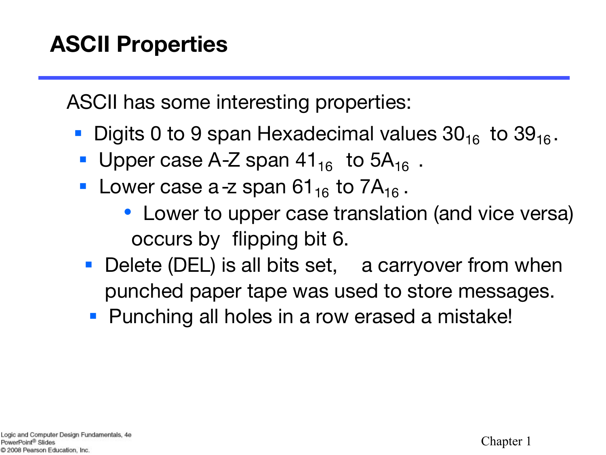ASCII has some interesting properties:

- Digits 0 to 9 span Hexadecimal values  $30_{16}$  to  $39_{16}$ .
- Upper case A-Z span  $41_{16}$  to  $5A_{16}$ .
- **Lower case a-z span 61**<sub>16</sub> to  $7A_{16}$ .
	- Lower to upper case translation (and vice versa) occurs by flipping bit 6.
- Delete (DEL) is all bits set, a carryover from when punched paper tape was used to store messages.
- Punching all holes in a row erased a mistake!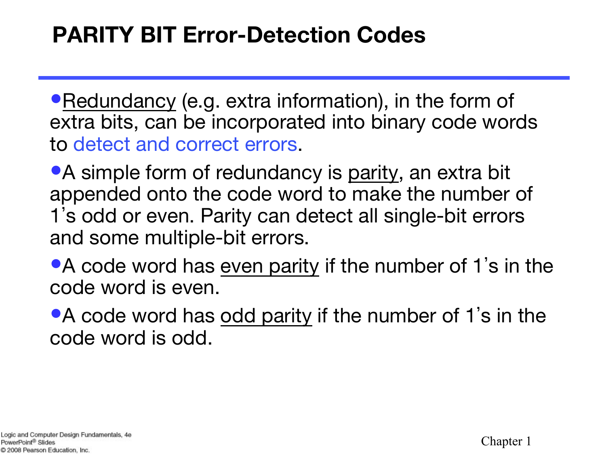### **PARITY BIT Error-Detection Codes**

• Redundancy (e.g. extra information), in the form of extra bits, can be incorporated into binary code words to detect and correct errors.

• A simple form of redundancy is parity, an extra bit appended onto the code word to make the number of 1's odd or even. Parity can detect all single-bit errors and some multiple-bit errors.

• A code word has even parity if the number of 1's in the code word is even.

• A code word has odd parity if the number of 1's in the code word is odd.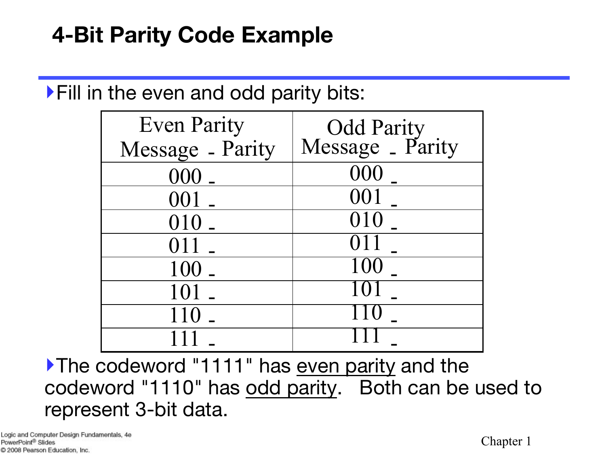### **4-Bit Parity Code Example**

### ‣Fill in the even and odd parity bits:

| <b>Even Parity</b> | Odd Parity<br>Message _ Parity |
|--------------------|--------------------------------|
| Message - Parity   |                                |
| $000$ .            | 000                            |
| 001                | 001                            |
| 010 -              | 010                            |
| 011                | 011                            |
| 100 -              | 100                            |
| 101                | 101                            |
| 110                |                                |
|                    |                                |

‣The codeword "1111" has even parity and the codeword "1110" has odd parity. Both can be used to represent 3-bit data.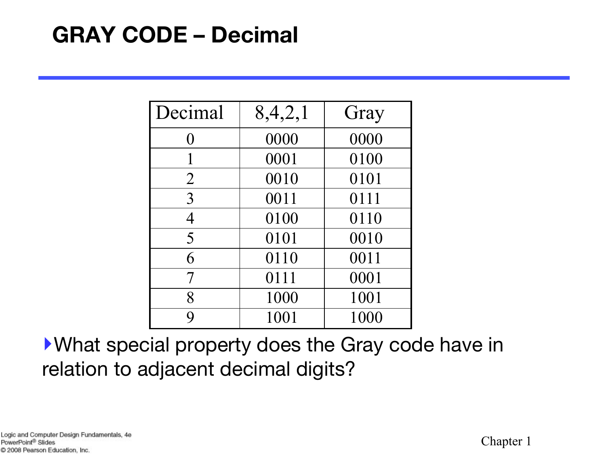### **GRAY CODE – Decimal**

| Decimal        | 8,4,2,1 | Gray |
|----------------|---------|------|
| $\Omega$       | 0000    | 0000 |
|                | 0001    | 0100 |
| $\overline{2}$ | 0010    | 0101 |
| $\overline{3}$ | 0011    | 0111 |
| $\overline{4}$ | 0100    | 0110 |
| 5              | 0101    | 0010 |
| 6              | 0110    | 0011 |
| $\overline{7}$ | 0111    | 0001 |
| 8              | 1000    | 1001 |
| Q              | 1001    | 1000 |

‣What special property does the Gray code have in relation to adjacent decimal digits?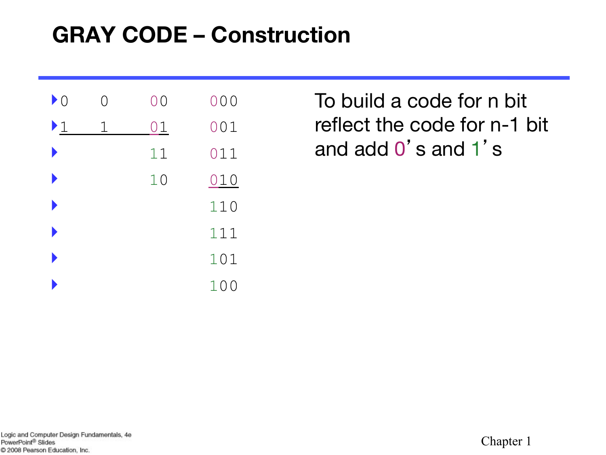### **GRAY CODE – Construction**

| $\blacktriangleright$ 0 |   | 00 | 000                   |
|-------------------------|---|----|-----------------------|
| $\blacktriangleright$ 1 | 1 | 01 | 001                   |
|                         |   | 11 | 011                   |
|                         |   | 10 | 010                   |
|                         |   |    | 110                   |
|                         |   |    | 111                   |
|                         |   |    | 101                   |
|                         |   |    | 10<br>$\left(\right)$ |

To build a code for n bit reflect the code for n-1 bit and add 0's and 1' s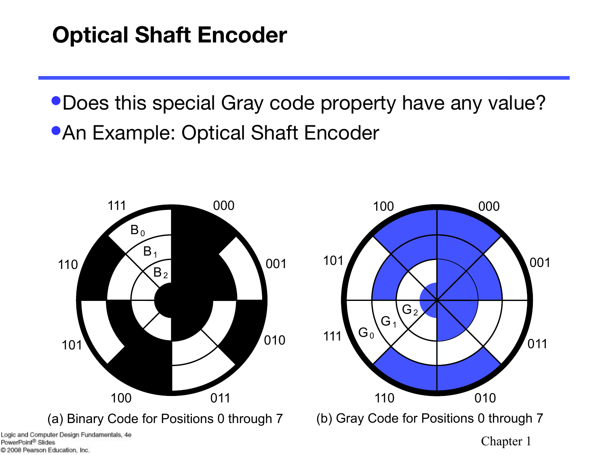### **Optical Shaft Encoder**

•Does this special Gray code property have any value? **•An Example: Optical Shaft Encoder** 



PowerPoint<sup>®</sup> Slides C 2008 Pearson Education, Inc.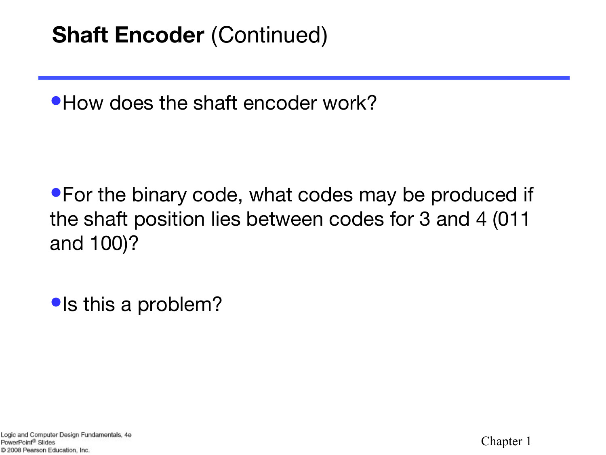### **Shaft Encoder** (Continued)

•How does the shaft encoder work?

•For the binary code, what codes may be produced if the shaft position lies between codes for 3 and 4 (011 and 100)?

•Is this a problem?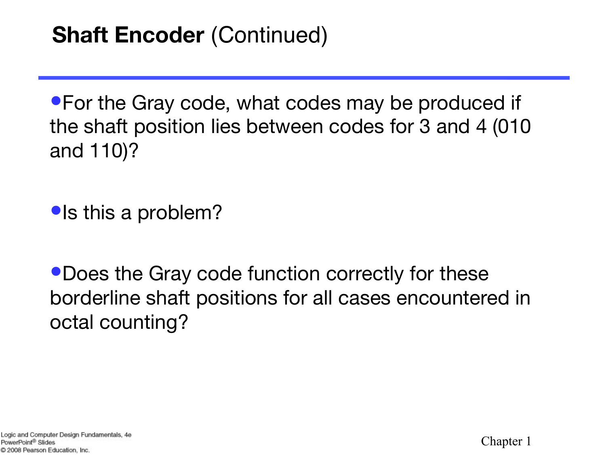•For the Gray code, what codes may be produced if the shaft position lies between codes for 3 and 4 (010 and 110)?

•Is this a problem?

•Does the Gray code function correctly for these borderline shaft positions for all cases encountered in octal counting?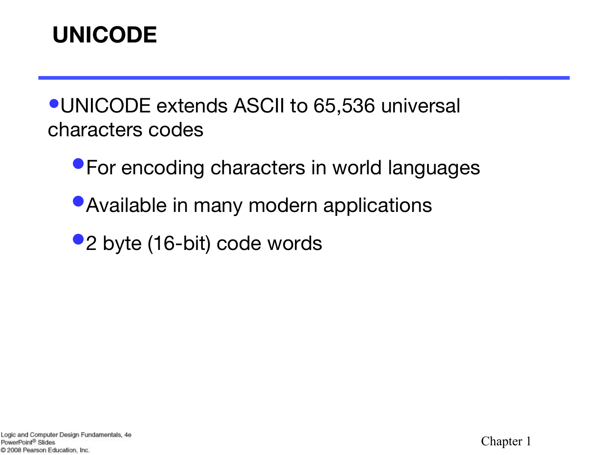### **UNICODE**

•UNICODE extends ASCII to 65,536 universal characters codes

- **For encoding characters in world languages**
- Available in many modern applications
- •2 byte (16-bit) code words